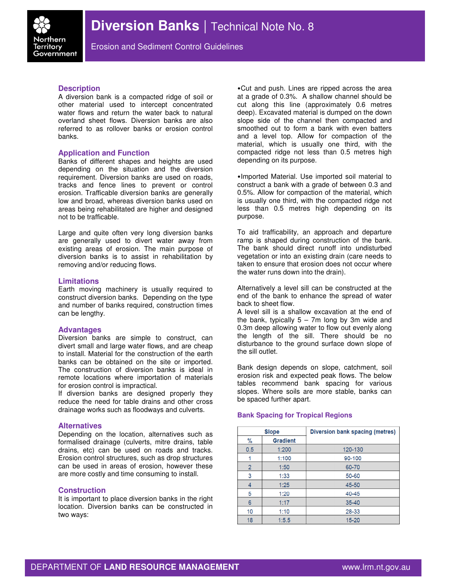

Erosion and Sediment Control Guidelines

# **Description**

A diversion bank is a compacted ridge of soil or other material used to intercept concentrated water flows and return the water back to natural overland sheet flows. Diversion banks are also referred to as rollover banks or erosion control banks.

## **Application and Function**

Banks of different shapes and heights are used depending on the situation and the diversion requirement. Diversion banks are used on roads, tracks and fence lines to prevent or control erosion. Trafficable diversion banks are generally low and broad, whereas diversion banks used on areas being rehabilitated are higher and designed not to be trafficable.

Large and quite often very long diversion banks are generally used to divert water away from existing areas of erosion. The main purpose of diversion banks is to assist in rehabilitation by removing and/or reducing flows.

## **Limitations**

Earth moving machinery is usually required to construct diversion banks. Depending on the type and number of banks required, construction times can be lengthy.

## **Advantages**

Diversion banks are simple to construct, can divert small and large water flows, and are cheap to install. Material for the construction of the earth banks can be obtained on the site or imported. The construction of diversion banks is ideal in remote locations where importation of materials for erosion control is impractical.

If diversion banks are designed properly they reduce the need for table drains and other cross drainage works such as floodways and culverts.

## **Alternatives**

Depending on the location, alternatives such as formalised drainage (culverts, mitre drains, table drains, etc) can be used on roads and tracks. Erosion control structures, such as drop structures can be used in areas of erosion, however these are more costly and time consuming to install.

# **Construction**

It is important to place diversion banks in the right location. Diversion banks can be constructed in two ways:

•Cut and push. Lines are ripped across the area at a grade of 0.3%. A shallow channel should be cut along this line (approximately 0.6 metres deep). Excavated material is dumped on the down slope side of the channel then compacted and smoothed out to form a bank with even batters and a level top. Allow for compaction of the material, which is usually one third, with the compacted ridge not less than 0.5 metres high depending on its purpose.

•Imported Material. Use imported soil material to construct a bank with a grade of between 0.3 and 0.5%. Allow for compaction of the material, which is usually one third, with the compacted ridge not less than 0.5 metres high depending on its purpose.

To aid trafficability, an approach and departure ramp is shaped during construction of the bank. The bank should direct runoff into undisturbed vegetation or into an existing drain (care needs to taken to ensure that erosion does not occur where the water runs down into the drain).

Alternatively a level sill can be constructed at the end of the bank to enhance the spread of water back to sheet flow.

A level sill is a shallow excavation at the end of the bank, typically  $5 - 7m$  long by 3m wide and 0.3m deep allowing water to flow out evenly along the length of the sill. There should be no disturbance to the ground surface down slope of the sill outlet.

Bank design depends on slope, catchment, soil erosion risk and expected peak flows. The below tables recommend bank spacing for various slopes. Where soils are more stable, banks can be spaced further apart.

## **Bank Spacing for Tropical Regions**

| <b>Slope</b>   |                 | Diversion bank spacing (metres) |
|----------------|-----------------|---------------------------------|
| %              | <b>Gradient</b> |                                 |
| 0.5            | 1:200           | 120-130                         |
|                | 1:100           | 90-100                          |
| $\overline{2}$ | 1:50            | 60-70                           |
| 3              | 1:33            | 50-60                           |
|                | 1:25            | 45-50                           |
| 5              | 1:20            | 40-45                           |
| 6              | 1:17            | $35 - 40$                       |
| 10             | 1:10            | 28-33                           |
| 18             | 1:5.5           | $15 - 20$                       |